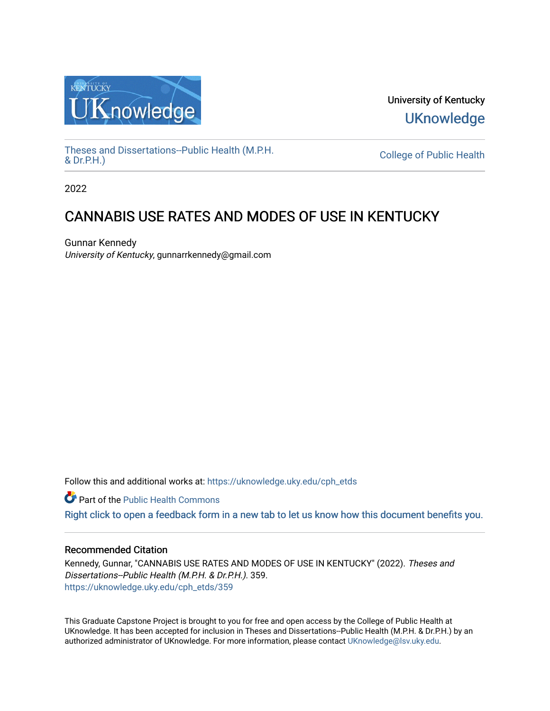

University of Kentucky **UKnowledge** 

[Theses and Dissertations--Public Health \(M.P.H.](https://uknowledge.uky.edu/cph_etds) & Dr.P.H.)

College of Public Health

2022

## CANNABIS USE RATES AND MODES OF USE IN KENTUCKY

Gunnar Kennedy University of Kentucky, gunnarrkennedy@gmail.com

Follow this and additional works at: [https://uknowledge.uky.edu/cph\\_etds](https://uknowledge.uky.edu/cph_etds?utm_source=uknowledge.uky.edu%2Fcph_etds%2F359&utm_medium=PDF&utm_campaign=PDFCoverPages) 

Part of the [Public Health Commons](https://network.bepress.com/hgg/discipline/738?utm_source=uknowledge.uky.edu%2Fcph_etds%2F359&utm_medium=PDF&utm_campaign=PDFCoverPages) 

[Right click to open a feedback form in a new tab to let us know how this document benefits you.](https://uky.az1.qualtrics.com/jfe/form/SV_9mq8fx2GnONRfz7)

#### Recommended Citation

Kennedy, Gunnar, "CANNABIS USE RATES AND MODES OF USE IN KENTUCKY" (2022). Theses and Dissertations--Public Health (M.P.H. & Dr.P.H.). 359. [https://uknowledge.uky.edu/cph\\_etds/359](https://uknowledge.uky.edu/cph_etds/359?utm_source=uknowledge.uky.edu%2Fcph_etds%2F359&utm_medium=PDF&utm_campaign=PDFCoverPages) 

This Graduate Capstone Project is brought to you for free and open access by the College of Public Health at UKnowledge. It has been accepted for inclusion in Theses and Dissertations--Public Health (M.P.H. & Dr.P.H.) by an authorized administrator of UKnowledge. For more information, please contact [UKnowledge@lsv.uky.edu](mailto:UKnowledge@lsv.uky.edu).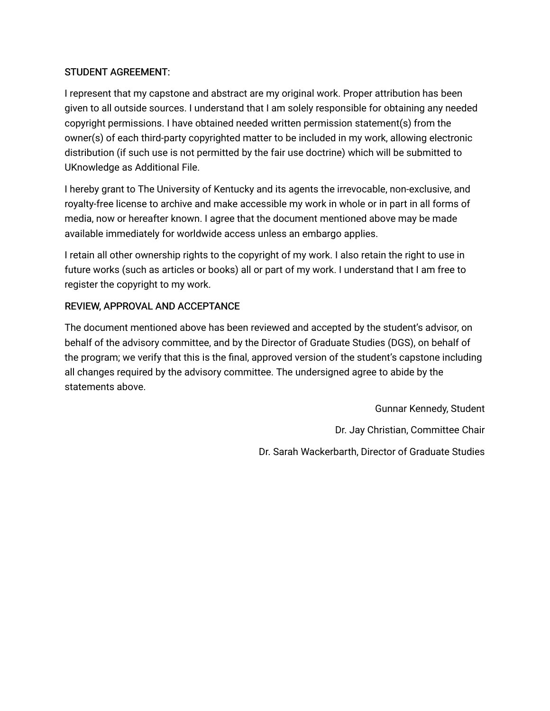#### STUDENT AGREEMENT:

I represent that my capstone and abstract are my original work. Proper attribution has been given to all outside sources. I understand that I am solely responsible for obtaining any needed copyright permissions. I have obtained needed written permission statement(s) from the owner(s) of each third-party copyrighted matter to be included in my work, allowing electronic distribution (if such use is not permitted by the fair use doctrine) which will be submitted to UKnowledge as Additional File.

I hereby grant to The University of Kentucky and its agents the irrevocable, non-exclusive, and royalty-free license to archive and make accessible my work in whole or in part in all forms of media, now or hereafter known. I agree that the document mentioned above may be made available immediately for worldwide access unless an embargo applies.

I retain all other ownership rights to the copyright of my work. I also retain the right to use in future works (such as articles or books) all or part of my work. I understand that I am free to register the copyright to my work.

### REVIEW, APPROVAL AND ACCEPTANCE

The document mentioned above has been reviewed and accepted by the student's advisor, on behalf of the advisory committee, and by the Director of Graduate Studies (DGS), on behalf of the program; we verify that this is the final, approved version of the student's capstone including all changes required by the advisory committee. The undersigned agree to abide by the statements above.

> Gunnar Kennedy, Student Dr. Jay Christian, Committee Chair Dr. Sarah Wackerbarth, Director of Graduate Studies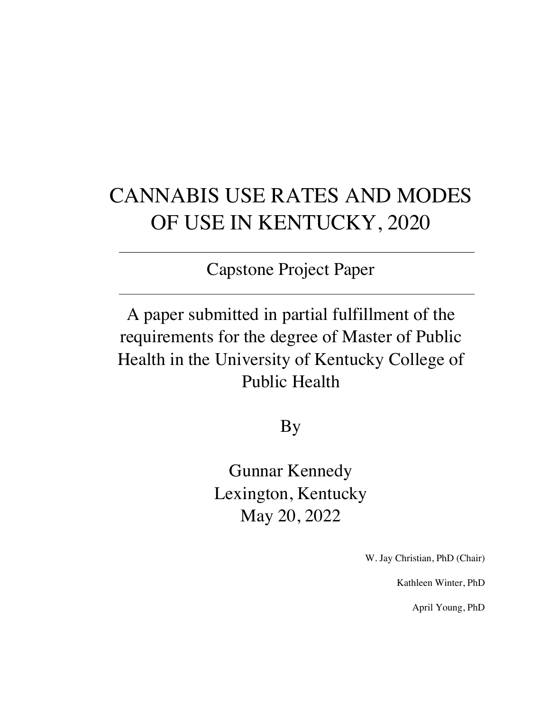# CANNABIS USE RATES AND MODES OF USE IN KENTUCKY, 2020

Capstone Project Paper

A paper submitted in partial fulfillment of the requirements for the degree of Master of Public Health in the University of Kentucky College of Public Health

By

Gunnar Kennedy Lexington, Kentucky May 20, 2022

W. Jay Christian, PhD (Chair)

Kathleen Winter, PhD

April Young, PhD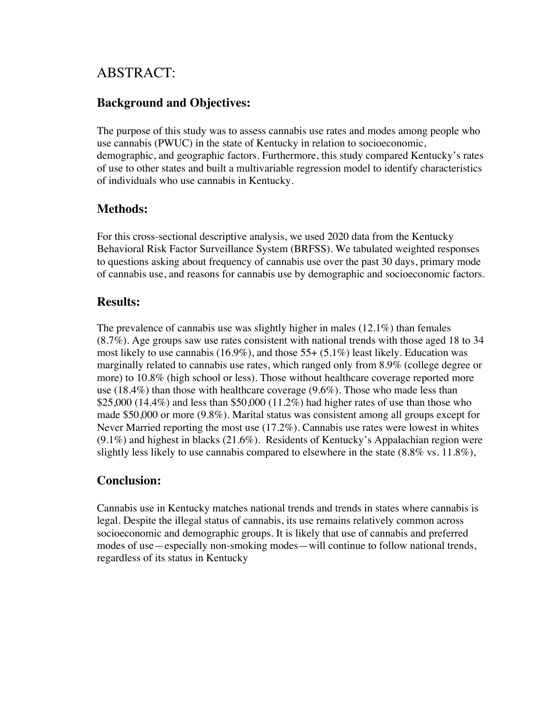## ABSTRACT:

## **Background and Objectives:**

The purpose of this study was to assess cannabis use rates and modes among people who use cannabis (PWUC) in the state of Kentucky in relation to socioeconomic, demographic, and geographic factors. Furthermore, this study compared Kentucky's rates of use to other states and built a multivariable regression model to identify characteristics of individuals who use cannabis in Kentucky.

### **Methods:**

For this cross-sectional descriptive analysis, we used 2020 data from the Kentucky Behavioral Risk Factor Surveillance System (BRFSS). We tabulated weighted responses to questions asking about frequency of cannabis use over the past 30 days, primary mode of cannabis use, and reasons for cannabis use by demographic and socioeconomic factors.

### **Results:**

The prevalence of cannabis use was slightly higher in males (12.1%) than females (8.7%). Age groups saw use rates consistent with national trends with those aged 18 to 34 most likely to use cannabis (16.9%), and those  $55+ (5.1\%)$  least likely. Education was marginally related to cannabis use rates, which ranged only from 8.9% (college degree or more) to 10.8% (high school or less). Those without healthcare coverage reported more use (18.4%) than those with healthcare coverage (9.6%). Those who made less than \$25,000 (14.4%) and less than \$50,000 (11.2%) had higher rates of use than those who made \$50,000 or more (9.8%). Marital status was consistent among all groups except for Never Married reporting the most use (17.2%). Cannabis use rates were lowest in whites (9.1%) and highest in blacks (21.6%). Residents of Kentucky's Appalachian region were slightly less likely to use cannabis compared to elsewhere in the state  $(8.8\% \text{ vs. } 11.8\%)$ ,

## **Conclusion:**

Cannabis use in Kentucky matches national trends and trends in states where cannabis is legal. Despite the illegal status of cannabis, its use remains relatively common across socioeconomic and demographic groups. It is likely that use of cannabis and preferred modes of use—especially non-smoking modes—will continue to follow national trends, regardless of its status in Kentucky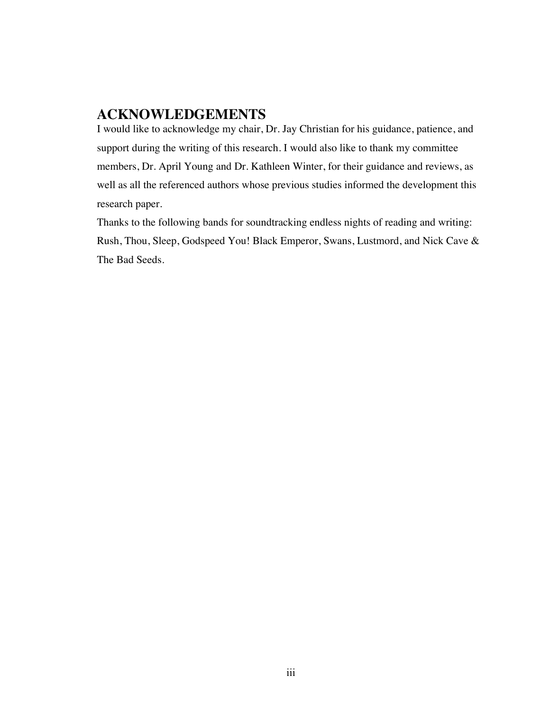## **ACKNOWLEDGEMENTS**

I would like to acknowledge my chair, Dr. Jay Christian for his guidance, patience, and support during the writing of this research. I would also like to thank my committee members, Dr. April Young and Dr. Kathleen Winter, for their guidance and reviews, as well as all the referenced authors whose previous studies informed the development this research paper.

Thanks to the following bands for soundtracking endless nights of reading and writing: Rush, Thou, Sleep, Godspeed You! Black Emperor, Swans, Lustmord, and Nick Cave & The Bad Seeds.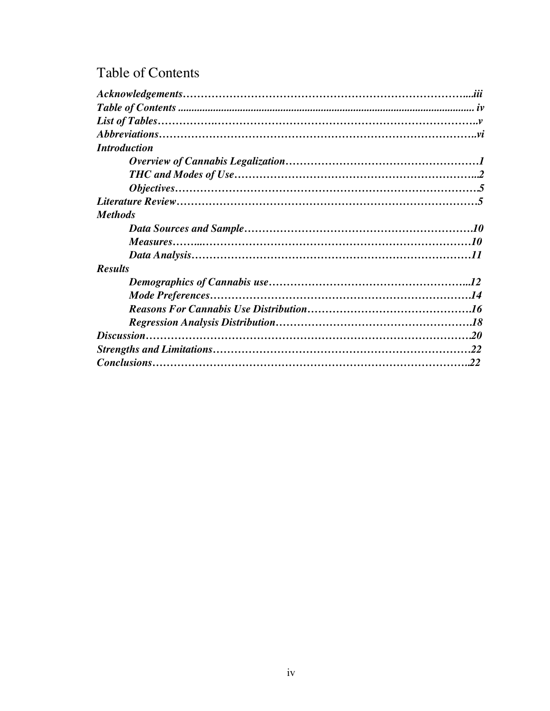## Table of Contents

| <b>Introduction</b> |  |
|---------------------|--|
|                     |  |
|                     |  |
|                     |  |
|                     |  |
| <b>Methods</b>      |  |
|                     |  |
|                     |  |
|                     |  |
| <b>Results</b>      |  |
|                     |  |
|                     |  |
|                     |  |
|                     |  |
|                     |  |
|                     |  |
|                     |  |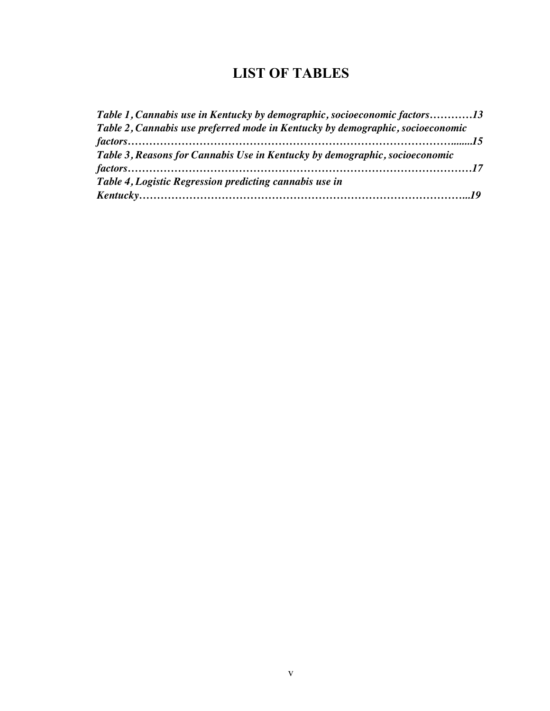## **LIST OF TABLES**

| Table 1, Cannabis use in Kentucky by demographic, socioeconomic factors13      |  |
|--------------------------------------------------------------------------------|--|
| Table 2, Cannabis use preferred mode in Kentucky by demographic, socioeconomic |  |
|                                                                                |  |
| Table 3, Reasons for Cannabis Use in Kentucky by demographic, socioeconomic    |  |
|                                                                                |  |
| Table 4, Logistic Regression predicting cannabis use in                        |  |
|                                                                                |  |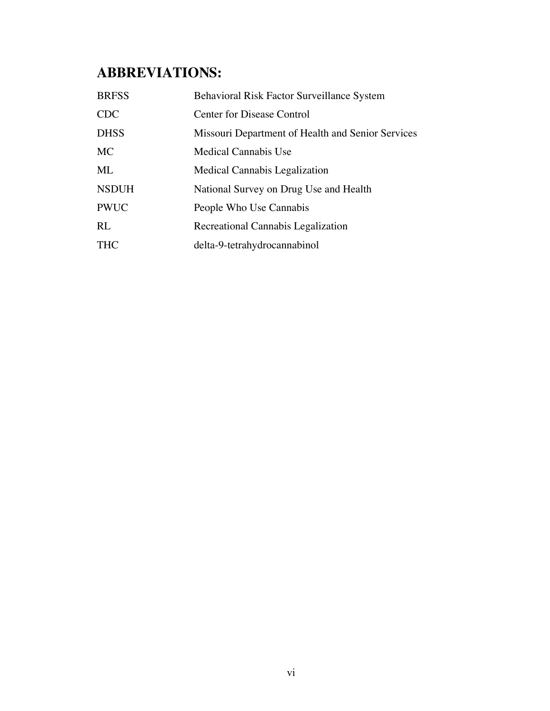## **ABBREVIATIONS:**

| <b>BRFSS</b> | Behavioral Risk Factor Surveillance System        |
|--------------|---------------------------------------------------|
| <b>CDC</b>   | Center for Disease Control                        |
| <b>DHSS</b>  | Missouri Department of Health and Senior Services |
| <b>MC</b>    | Medical Cannabis Use                              |
| ML           | Medical Cannabis Legalization                     |
| <b>NSDUH</b> | National Survey on Drug Use and Health            |
| <b>PWUC</b>  | People Who Use Cannabis                           |
| RL           | Recreational Cannabis Legalization                |
| <b>THC</b>   | delta-9-tetrahydrocannabinol                      |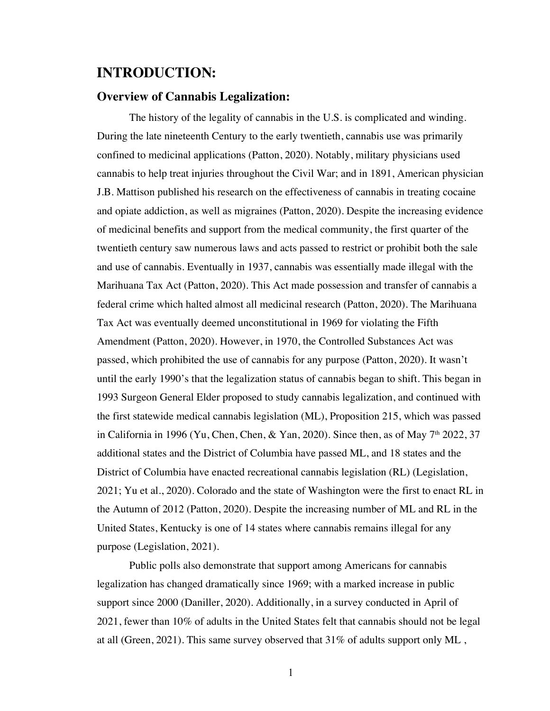## **INTRODUCTION:**

#### **Overview of Cannabis Legalization:**

The history of the legality of cannabis in the U.S. is complicated and winding. During the late nineteenth Century to the early twentieth, cannabis use was primarily confined to medicinal applications (Patton, 2020). Notably, military physicians used cannabis to help treat injuries throughout the Civil War; and in 1891, American physician J.B. Mattison published his research on the effectiveness of cannabis in treating cocaine and opiate addiction, as well as migraines (Patton, 2020). Despite the increasing evidence of medicinal benefits and support from the medical community, the first quarter of the twentieth century saw numerous laws and acts passed to restrict or prohibit both the sale and use of cannabis. Eventually in 1937, cannabis was essentially made illegal with the Marihuana Tax Act (Patton, 2020). This Act made possession and transfer of cannabis a federal crime which halted almost all medicinal research (Patton, 2020). The Marihuana Tax Act was eventually deemed unconstitutional in 1969 for violating the Fifth Amendment (Patton, 2020). However, in 1970, the Controlled Substances Act was passed, which prohibited the use of cannabis for any purpose (Patton, 2020). It wasn't until the early 1990's that the legalization status of cannabis began to shift. This began in 1993 Surgeon General Elder proposed to study cannabis legalization, and continued with the first statewide medical cannabis legislation (ML), Proposition 215, which was passed in California in 1996 (Yu, Chen, Chen, & Yan, 2020). Since then, as of May  $7<sup>th</sup>$  2022, 37 additional states and the District of Columbia have passed ML, and 18 states and the District of Columbia have enacted recreational cannabis legislation (RL) (Legislation, 2021; Yu et al., 2020). Colorado and the state of Washington were the first to enact RL in the Autumn of 2012 (Patton, 2020). Despite the increasing number of ML and RL in the United States, Kentucky is one of 14 states where cannabis remains illegal for any purpose (Legislation, 2021).

Public polls also demonstrate that support among Americans for cannabis legalization has changed dramatically since 1969; with a marked increase in public support since 2000 (Daniller, 2020). Additionally, in a survey conducted in April of 2021, fewer than 10% of adults in the United States felt that cannabis should not be legal at all (Green, 2021). This same survey observed that  $31\%$  of adults support only ML,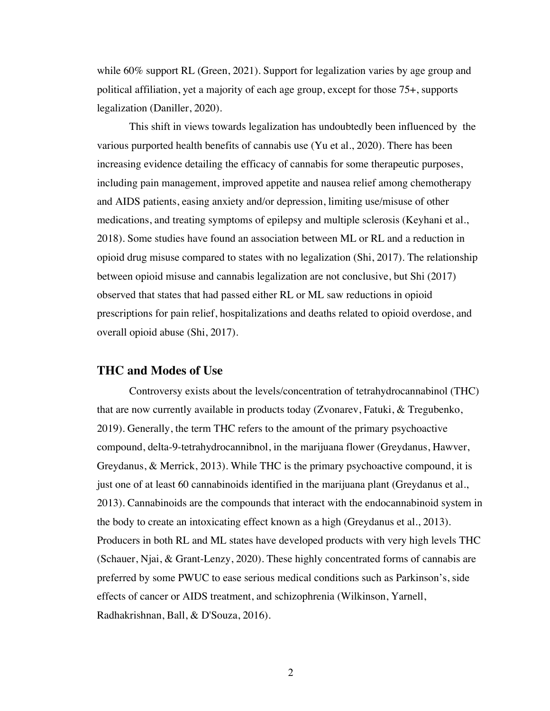while 60% support RL (Green, 2021). Support for legalization varies by age group and political affiliation, yet a majority of each age group, except for those 75+, supports legalization (Daniller, 2020).

This shift in views towards legalization has undoubtedly been influenced by the various purported health benefits of cannabis use (Yu et al., 2020). There has been increasing evidence detailing the efficacy of cannabis for some therapeutic purposes, including pain management, improved appetite and nausea relief among chemotherapy and AIDS patients, easing anxiety and/or depression, limiting use/misuse of other medications, and treating symptoms of epilepsy and multiple sclerosis (Keyhani et al., 2018). Some studies have found an association between ML or RL and a reduction in opioid drug misuse compared to states with no legalization (Shi, 2017). The relationship between opioid misuse and cannabis legalization are not conclusive, but Shi (2017) observed that states that had passed either RL or ML saw reductions in opioid prescriptions for pain relief, hospitalizations and deaths related to opioid overdose, and overall opioid abuse (Shi, 2017).

#### **THC and Modes of Use**

Controversy exists about the levels/concentration of tetrahydrocannabinol (THC) that are now currently available in products today (Zvonarev, Fatuki, & Tregubenko, 2019). Generally, the term THC refers to the amount of the primary psychoactive compound, delta-9-tetrahydrocannibnol, in the marijuana flower (Greydanus, Hawver, Greydanus, & Merrick, 2013). While THC is the primary psychoactive compound, it is just one of at least 60 cannabinoids identified in the marijuana plant (Greydanus et al., 2013). Cannabinoids are the compounds that interact with the endocannabinoid system in the body to create an intoxicating effect known as a high (Greydanus et al., 2013). Producers in both RL and ML states have developed products with very high levels THC (Schauer, Njai, & Grant-Lenzy, 2020). These highly concentrated forms of cannabis are preferred by some PWUC to ease serious medical conditions such as Parkinson's, side effects of cancer or AIDS treatment, and schizophrenia (Wilkinson, Yarnell, Radhakrishnan, Ball, & D'Souza, 2016).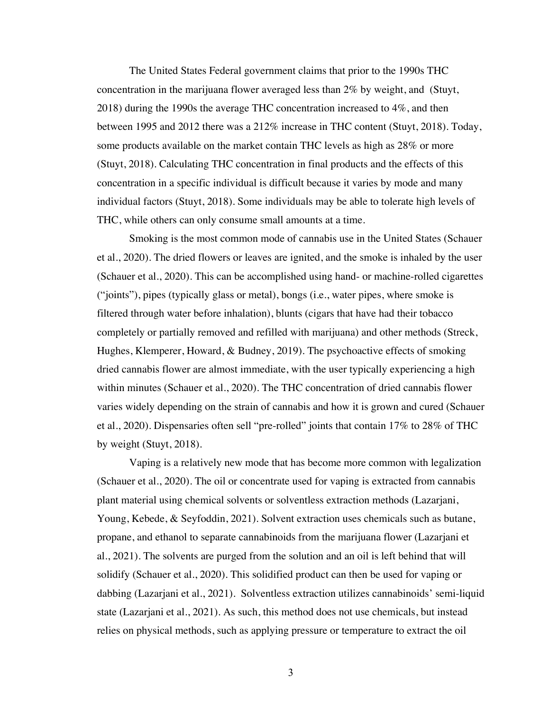The United States Federal government claims that prior to the 1990s THC concentration in the marijuana flower averaged less than 2% by weight, and (Stuyt, 2018) during the 1990s the average THC concentration increased to 4%, and then between 1995 and 2012 there was a 212% increase in THC content (Stuyt, 2018). Today, some products available on the market contain THC levels as high as 28% or more (Stuyt, 2018). Calculating THC concentration in final products and the effects of this concentration in a specific individual is difficult because it varies by mode and many individual factors (Stuyt, 2018). Some individuals may be able to tolerate high levels of THC, while others can only consume small amounts at a time.

Smoking is the most common mode of cannabis use in the United States (Schauer et al., 2020). The dried flowers or leaves are ignited, and the smoke is inhaled by the user (Schauer et al., 2020). This can be accomplished using hand- or machine-rolled cigarettes ("joints"), pipes (typically glass or metal), bongs (i.e., water pipes, where smoke is filtered through water before inhalation), blunts (cigars that have had their tobacco completely or partially removed and refilled with marijuana) and other methods (Streck, Hughes, Klemperer, Howard, & Budney, 2019). The psychoactive effects of smoking dried cannabis flower are almost immediate, with the user typically experiencing a high within minutes (Schauer et al., 2020). The THC concentration of dried cannabis flower varies widely depending on the strain of cannabis and how it is grown and cured (Schauer et al., 2020). Dispensaries often sell "pre-rolled" joints that contain 17% to 28% of THC by weight (Stuyt, 2018).

Vaping is a relatively new mode that has become more common with legalization (Schauer et al., 2020). The oil or concentrate used for vaping is extracted from cannabis plant material using chemical solvents or solventless extraction methods (Lazarjani, Young, Kebede, & Seyfoddin, 2021). Solvent extraction uses chemicals such as butane, propane, and ethanol to separate cannabinoids from the marijuana flower (Lazarjani et al., 2021). The solvents are purged from the solution and an oil is left behind that will solidify (Schauer et al., 2020). This solidified product can then be used for vaping or dabbing (Lazarjani et al., 2021). Solventless extraction utilizes cannabinoids' semi-liquid state (Lazarjani et al., 2021). As such, this method does not use chemicals, but instead relies on physical methods, such as applying pressure or temperature to extract the oil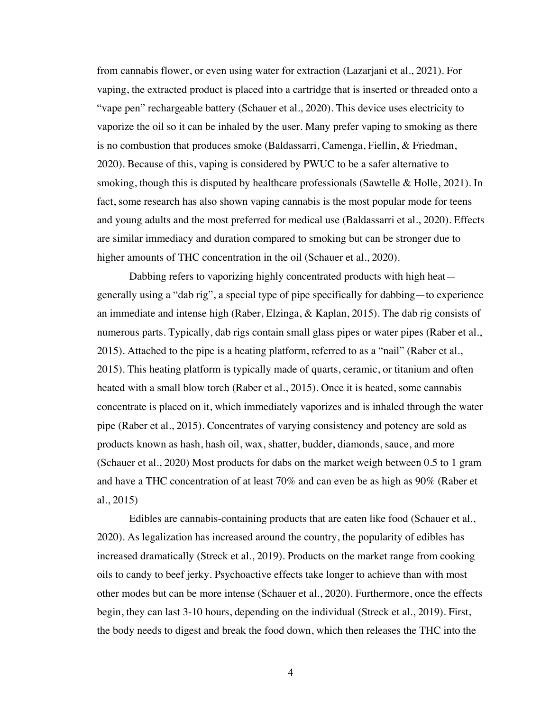from cannabis flower, or even using water for extraction (Lazarjani et al., 2021). For vaping, the extracted product is placed into a cartridge that is inserted or threaded onto a "vape pen" rechargeable battery (Schauer et al., 2020). This device uses electricity to vaporize the oil so it can be inhaled by the user. Many prefer vaping to smoking as there is no combustion that produces smoke (Baldassarri, Camenga, Fiellin, & Friedman, 2020). Because of this, vaping is considered by PWUC to be a safer alternative to smoking, though this is disputed by healthcare professionals (Sawtelle & Holle, 2021). In fact, some research has also shown vaping cannabis is the most popular mode for teens and young adults and the most preferred for medical use (Baldassarri et al., 2020). Effects are similar immediacy and duration compared to smoking but can be stronger due to higher amounts of THC concentration in the oil (Schauer et al., 2020).

Dabbing refers to vaporizing highly concentrated products with high heat generally using a "dab rig", a special type of pipe specifically for dabbing—to experience an immediate and intense high (Raber, Elzinga, & Kaplan, 2015). The dab rig consists of numerous parts. Typically, dab rigs contain small glass pipes or water pipes (Raber et al., 2015). Attached to the pipe is a heating platform, referred to as a "nail" (Raber et al., 2015). This heating platform is typically made of quarts, ceramic, or titanium and often heated with a small blow torch (Raber et al., 2015). Once it is heated, some cannabis concentrate is placed on it, which immediately vaporizes and is inhaled through the water pipe (Raber et al., 2015). Concentrates of varying consistency and potency are sold as products known as hash, hash oil, wax, shatter, budder, diamonds, sauce, and more (Schauer et al., 2020) Most products for dabs on the market weigh between 0.5 to 1 gram and have a THC concentration of at least 70% and can even be as high as 90% (Raber et al., 2015)

Edibles are cannabis-containing products that are eaten like food (Schauer et al., 2020). As legalization has increased around the country, the popularity of edibles has increased dramatically (Streck et al., 2019). Products on the market range from cooking oils to candy to beef jerky. Psychoactive effects take longer to achieve than with most other modes but can be more intense (Schauer et al., 2020). Furthermore, once the effects begin, they can last 3-10 hours, depending on the individual (Streck et al., 2019). First, the body needs to digest and break the food down, which then releases the THC into the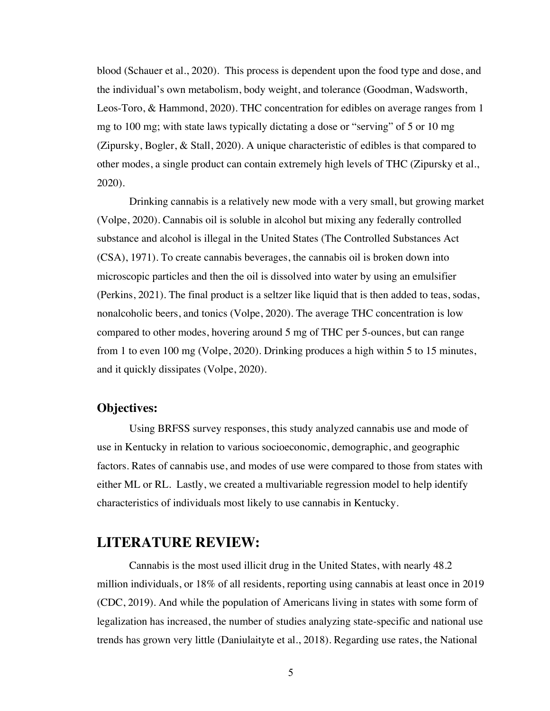blood (Schauer et al., 2020). This process is dependent upon the food type and dose, and the individual's own metabolism, body weight, and tolerance (Goodman, Wadsworth, Leos-Toro, & Hammond, 2020). THC concentration for edibles on average ranges from 1 mg to 100 mg; with state laws typically dictating a dose or "serving" of 5 or 10 mg (Zipursky, Bogler, & Stall, 2020). A unique characteristic of edibles is that compared to other modes, a single product can contain extremely high levels of THC (Zipursky et al., 2020).

Drinking cannabis is a relatively new mode with a very small, but growing market (Volpe, 2020). Cannabis oil is soluble in alcohol but mixing any federally controlled substance and alcohol is illegal in the United States (The Controlled Substances Act (CSA), 1971). To create cannabis beverages, the cannabis oil is broken down into microscopic particles and then the oil is dissolved into water by using an emulsifier (Perkins, 2021). The final product is a seltzer like liquid that is then added to teas, sodas, nonalcoholic beers, and tonics (Volpe, 2020). The average THC concentration is low compared to other modes, hovering around 5 mg of THC per 5-ounces, but can range from 1 to even 100 mg (Volpe, 2020). Drinking produces a high within 5 to 15 minutes, and it quickly dissipates (Volpe, 2020).

### **Objectives:**

Using BRFSS survey responses, this study analyzed cannabis use and mode of use in Kentucky in relation to various socioeconomic, demographic, and geographic factors. Rates of cannabis use, and modes of use were compared to those from states with either ML or RL. Lastly, we created a multivariable regression model to help identify characteristics of individuals most likely to use cannabis in Kentucky.

#### **LITERATURE REVIEW:**

Cannabis is the most used illicit drug in the United States, with nearly 48.2 million individuals, or 18% of all residents, reporting using cannabis at least once in 2019 (CDC, 2019). And while the population of Americans living in states with some form of legalization has increased, the number of studies analyzing state-specific and national use trends has grown very little (Daniulaityte et al., 2018). Regarding use rates, the National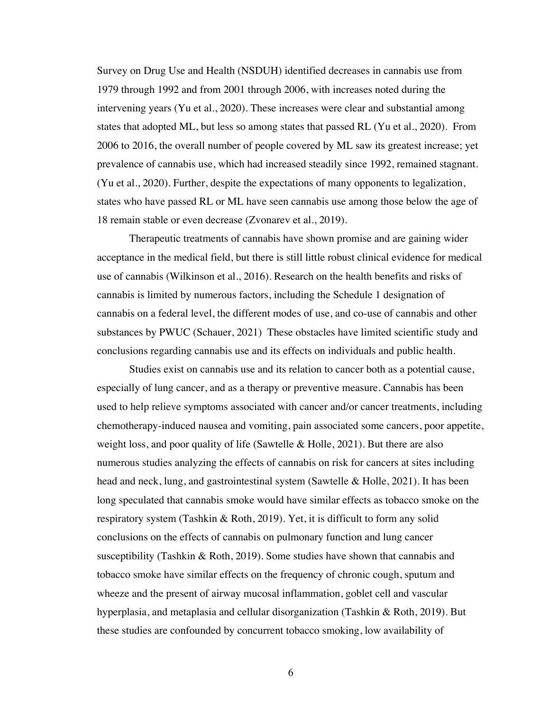Survey on Drug Use and Health (NSDUH) identified decreases in cannabis use from 1979 through 1992 and from 2001 through 2006, with increases noted during the intervening years (Yu et al., 2020). These increases were clear and substantial among states that adopted ML, but less so among states that passed RL (Yu et al., 2020). From 2006 to 2016, the overall number of people covered by ML saw its greatest increase; yet prevalence of cannabis use, which had increased steadily since 1992, remained stagnant. (Yu et al., 2020). Further, despite the expectations of many opponents to legalization, states who have passed RL or ML have seen cannabis use among those below the age of 18 remain stable or even decrease (Zvonarev et al., 2019).

Therapeutic treatments of cannabis have shown promise and are gaining wider acceptance in the medical field, but there is still little robust clinical evidence for medical use of cannabis (Wilkinson et al., 2016). Research on the health benefits and risks of cannabis is limited by numerous factors, including the Schedule 1 designation of cannabis on a federal level, the different modes of use, and co-use of cannabis and other substances by PWUC (Schauer, 2021) These obstacles have limited scientific study and conclusions regarding cannabis use and its effects on individuals and public health.

Studies exist on cannabis use and its relation to cancer both as a potential cause, especially of lung cancer, and as a therapy or preventive measure. Cannabis has been used to help relieve symptoms associated with cancer and/or cancer treatments, including chemotherapy-induced nausea and vomiting, pain associated some cancers, poor appetite, weight loss, and poor quality of life (Sawtelle & Holle, 2021). But there are also numerous studies analyzing the effects of cannabis on risk for cancers at sites including head and neck, lung, and gastrointestinal system (Sawtelle & Holle, 2021). It has been long speculated that cannabis smoke would have similar effects as tobacco smoke on the respiratory system (Tashkin & Roth, 2019). Yet, it is difficult to form any solid conclusions on the effects of cannabis on pulmonary function and lung cancer susceptibility (Tashkin & Roth, 2019). Some studies have shown that cannabis and tobacco smoke have similar effects on the frequency of chronic cough, sputum and wheeze and the present of airway mucosal inflammation, goblet cell and vascular hyperplasia, and metaplasia and cellular disorganization (Tashkin & Roth, 2019). But these studies are confounded by concurrent tobacco smoking, low availability of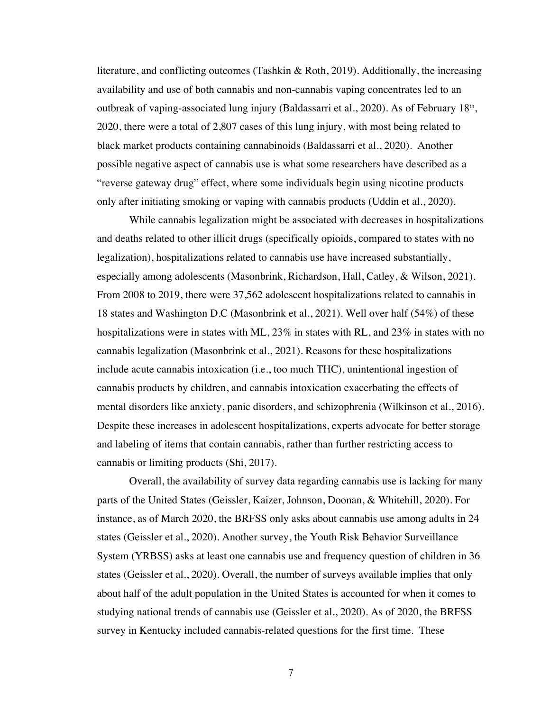literature, and conflicting outcomes (Tashkin & Roth, 2019). Additionally, the increasing availability and use of both cannabis and non-cannabis vaping concentrates led to an outbreak of vaping-associated lung injury (Baldassarri et al., 2020). As of February 18<sup>th</sup>, 2020, there were a total of 2,807 cases of this lung injury, with most being related to black market products containing cannabinoids (Baldassarri et al., 2020). Another possible negative aspect of cannabis use is what some researchers have described as a "reverse gateway drug" effect, where some individuals begin using nicotine products only after initiating smoking or vaping with cannabis products (Uddin et al., 2020).

While cannabis legalization might be associated with decreases in hospitalizations and deaths related to other illicit drugs (specifically opioids, compared to states with no legalization), hospitalizations related to cannabis use have increased substantially, especially among adolescents (Masonbrink, Richardson, Hall, Catley, & Wilson, 2021). From 2008 to 2019, there were 37,562 adolescent hospitalizations related to cannabis in 18 states and Washington D.C (Masonbrink et al., 2021). Well over half (54%) of these hospitalizations were in states with ML, 23% in states with RL, and 23% in states with no cannabis legalization (Masonbrink et al., 2021). Reasons for these hospitalizations include acute cannabis intoxication (i.e., too much THC), unintentional ingestion of cannabis products by children, and cannabis intoxication exacerbating the effects of mental disorders like anxiety, panic disorders, and schizophrenia (Wilkinson et al., 2016). Despite these increases in adolescent hospitalizations, experts advocate for better storage and labeling of items that contain cannabis, rather than further restricting access to cannabis or limiting products (Shi, 2017).

Overall, the availability of survey data regarding cannabis use is lacking for many parts of the United States (Geissler, Kaizer, Johnson, Doonan, & Whitehill, 2020). For instance, as of March 2020, the BRFSS only asks about cannabis use among adults in 24 states (Geissler et al., 2020). Another survey, the Youth Risk Behavior Surveillance System (YRBSS) asks at least one cannabis use and frequency question of children in 36 states (Geissler et al., 2020). Overall, the number of surveys available implies that only about half of the adult population in the United States is accounted for when it comes to studying national trends of cannabis use (Geissler et al., 2020). As of 2020, the BRFSS survey in Kentucky included cannabis-related questions for the first time. These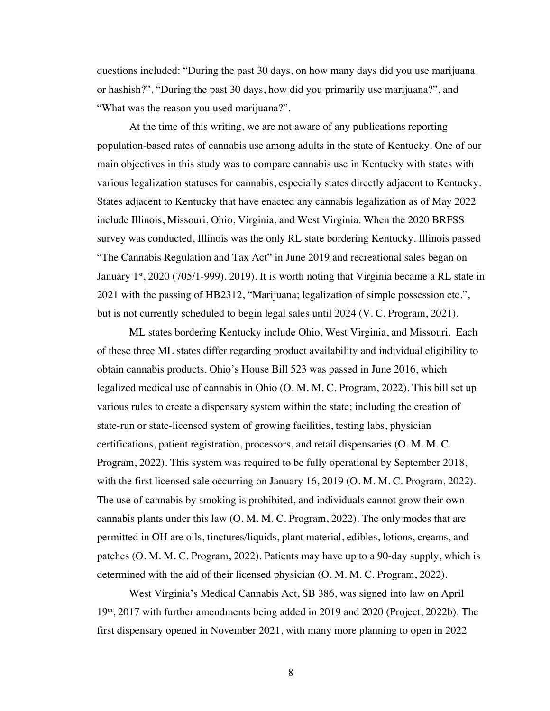questions included: "During the past 30 days, on how many days did you use marijuana or hashish?", "During the past 30 days, how did you primarily use marijuana?", and "What was the reason you used marijuana?".

At the time of this writing, we are not aware of any publications reporting population-based rates of cannabis use among adults in the state of Kentucky. One of our main objectives in this study was to compare cannabis use in Kentucky with states with various legalization statuses for cannabis, especially states directly adjacent to Kentucky. States adjacent to Kentucky that have enacted any cannabis legalization as of May 2022 include Illinois, Missouri, Ohio, Virginia, and West Virginia. When the 2020 BRFSS survey was conducted, Illinois was the only RL state bordering Kentucky. Illinois passed "The Cannabis Regulation and Tax Act" in June 2019 and recreational sales began on January 1<sup>st</sup>, 2020 (705/1-999). 2019). It is worth noting that Virginia became a RL state in 2021 with the passing of HB2312, "Marijuana; legalization of simple possession etc.", but is not currently scheduled to begin legal sales until 2024 (V. C. Program, 2021).

ML states bordering Kentucky include Ohio, West Virginia, and Missouri. Each of these three ML states differ regarding product availability and individual eligibility to obtain cannabis products. Ohio's House Bill 523 was passed in June 2016, which legalized medical use of cannabis in Ohio (O. M. M. C. Program, 2022). This bill set up various rules to create a dispensary system within the state; including the creation of state-run or state-licensed system of growing facilities, testing labs, physician certifications, patient registration, processors, and retail dispensaries (O. M. M. C. Program, 2022). This system was required to be fully operational by September 2018, with the first licensed sale occurring on January 16, 2019 (O. M. M. C. Program, 2022). The use of cannabis by smoking is prohibited, and individuals cannot grow their own cannabis plants under this law (O. M. M. C. Program, 2022). The only modes that are permitted in OH are oils, tinctures/liquids, plant material, edibles, lotions, creams, and patches (O. M. M. C. Program, 2022). Patients may have up to a 90-day supply, which is determined with the aid of their licensed physician (O. M. M. C. Program, 2022).

West Virginia's Medical Cannabis Act, SB 386, was signed into law on April 19th, 2017 with further amendments being added in 2019 and 2020 (Project, 2022b). The first dispensary opened in November 2021, with many more planning to open in 2022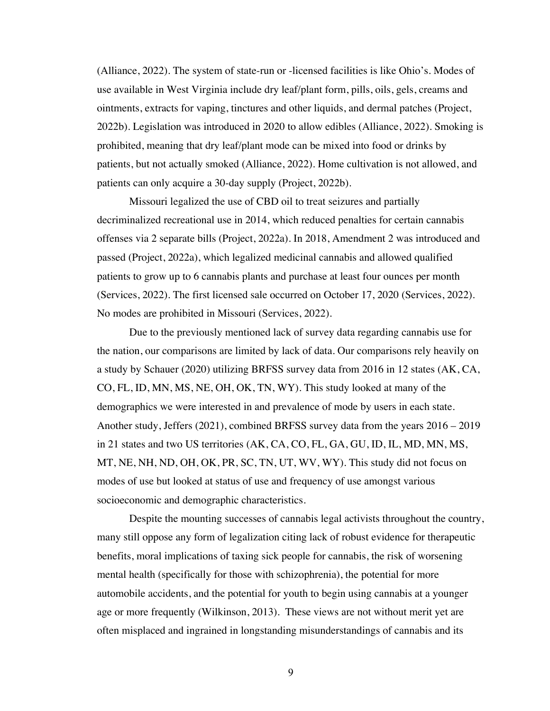(Alliance, 2022). The system of state-run or -licensed facilities is like Ohio's. Modes of use available in West Virginia include dry leaf/plant form, pills, oils, gels, creams and ointments, extracts for vaping, tinctures and other liquids, and dermal patches (Project, 2022b). Legislation was introduced in 2020 to allow edibles (Alliance, 2022). Smoking is prohibited, meaning that dry leaf/plant mode can be mixed into food or drinks by patients, but not actually smoked (Alliance, 2022). Home cultivation is not allowed, and patients can only acquire a 30-day supply (Project, 2022b).

Missouri legalized the use of CBD oil to treat seizures and partially decriminalized recreational use in 2014, which reduced penalties for certain cannabis offenses via 2 separate bills (Project, 2022a). In 2018, Amendment 2 was introduced and passed (Project, 2022a), which legalized medicinal cannabis and allowed qualified patients to grow up to 6 cannabis plants and purchase at least four ounces per month (Services, 2022). The first licensed sale occurred on October 17, 2020 (Services, 2022). No modes are prohibited in Missouri (Services, 2022).

Due to the previously mentioned lack of survey data regarding cannabis use for the nation, our comparisons are limited by lack of data. Our comparisons rely heavily on a study by Schauer (2020) utilizing BRFSS survey data from 2016 in 12 states (AK, CA, CO, FL, ID, MN, MS, NE, OH, OK, TN, WY). This study looked at many of the demographics we were interested in and prevalence of mode by users in each state. Another study, Jeffers (2021), combined BRFSS survey data from the years 2016 – 2019 in 21 states and two US territories (AK, CA, CO, FL, GA, GU, ID, IL, MD, MN, MS, MT, NE, NH, ND, OH, OK, PR, SC, TN, UT, WV, WY). This study did not focus on modes of use but looked at status of use and frequency of use amongst various socioeconomic and demographic characteristics.

Despite the mounting successes of cannabis legal activists throughout the country, many still oppose any form of legalization citing lack of robust evidence for therapeutic benefits, moral implications of taxing sick people for cannabis, the risk of worsening mental health (specifically for those with schizophrenia), the potential for more automobile accidents, and the potential for youth to begin using cannabis at a younger age or more frequently (Wilkinson, 2013). These views are not without merit yet are often misplaced and ingrained in longstanding misunderstandings of cannabis and its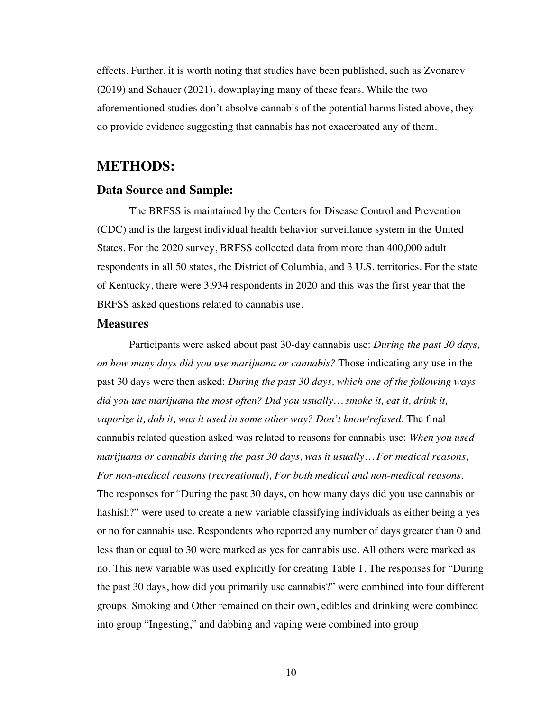effects. Further, it is worth noting that studies have been published, such as Zvonarev (2019) and Schauer (2021), downplaying many of these fears. While the two aforementioned studies don't absolve cannabis of the potential harms listed above, they do provide evidence suggesting that cannabis has not exacerbated any of them.

## **METHODS:**

#### **Data Source and Sample:**

The BRFSS is maintained by the Centers for Disease Control and Prevention (CDC) and is the largest individual health behavior surveillance system in the United States. For the 2020 survey, BRFSS collected data from more than 400,000 adult respondents in all 50 states, the District of Columbia, and 3 U.S. territories. For the state of Kentucky, there were 3,934 respondents in 2020 and this was the first year that the BRFSS asked questions related to cannabis use.

#### **Measures**

Participants were asked about past 30-day cannabis use: *During the past 30 days, on how many days did you use marijuana or cannabis?* Those indicating any use in the past 30 days were then asked: *During the past 30 days, which one of the following ways did you use marijuana the most often? Did you usually… smoke it, eat it, drink it, vaporize it, dab it, was it used in some other way? Don't know/refused.* The final cannabis related question asked was related to reasons for cannabis use: *When you used marijuana or cannabis during the past 30 days, was it usually… For medical reasons, For non-medical reasons (recreational), For both medical and non-medical reasons*. The responses for "During the past 30 days, on how many days did you use cannabis or hashish?" were used to create a new variable classifying individuals as either being a yes or no for cannabis use. Respondents who reported any number of days greater than 0 and less than or equal to 30 were marked as yes for cannabis use. All others were marked as no. This new variable was used explicitly for creating Table 1. The responses for "During the past 30 days, how did you primarily use cannabis?" were combined into four different groups. Smoking and Other remained on their own, edibles and drinking were combined into group "Ingesting," and dabbing and vaping were combined into group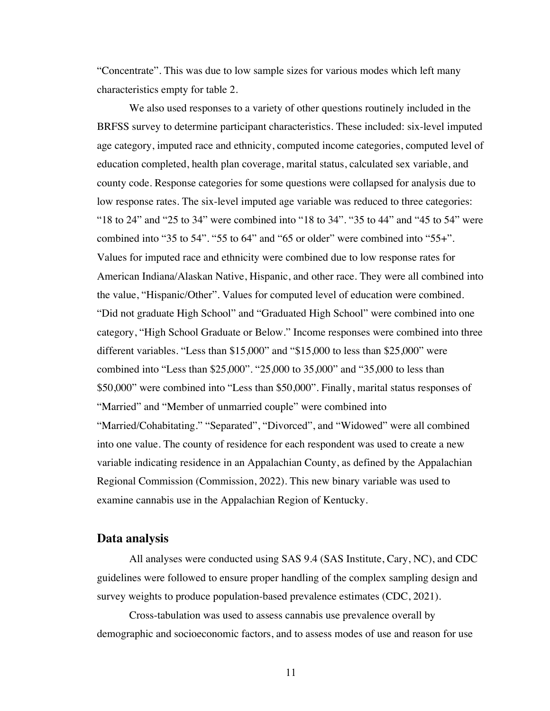"Concentrate". This was due to low sample sizes for various modes which left many characteristics empty for table 2.

We also used responses to a variety of other questions routinely included in the BRFSS survey to determine participant characteristics. These included: six-level imputed age category, imputed race and ethnicity, computed income categories, computed level of education completed, health plan coverage, marital status, calculated sex variable, and county code. Response categories for some questions were collapsed for analysis due to low response rates. The six-level imputed age variable was reduced to three categories: "18 to 24" and "25 to 34" were combined into "18 to 34". "35 to 44" and "45 to 54" were combined into "35 to 54". "55 to 64" and "65 or older" were combined into "55+". Values for imputed race and ethnicity were combined due to low response rates for American Indiana/Alaskan Native, Hispanic, and other race. They were all combined into the value, "Hispanic/Other". Values for computed level of education were combined. "Did not graduate High School" and "Graduated High School" were combined into one category, "High School Graduate or Below." Income responses were combined into three different variables. "Less than \$15,000" and "\$15,000 to less than \$25,000" were combined into "Less than \$25,000". "25,000 to 35,000" and "35,000 to less than \$50,000" were combined into "Less than \$50,000". Finally, marital status responses of "Married" and "Member of unmarried couple" were combined into "Married/Cohabitating." "Separated", "Divorced", and "Widowed" were all combined into one value. The county of residence for each respondent was used to create a new variable indicating residence in an Appalachian County, as defined by the Appalachian Regional Commission (Commission, 2022). This new binary variable was used to examine cannabis use in the Appalachian Region of Kentucky.

#### **Data analysis**

All analyses were conducted using SAS 9.4 (SAS Institute, Cary, NC), and CDC guidelines were followed to ensure proper handling of the complex sampling design and survey weights to produce population-based prevalence estimates (CDC, 2021).

Cross-tabulation was used to assess cannabis use prevalence overall by demographic and socioeconomic factors, and to assess modes of use and reason for use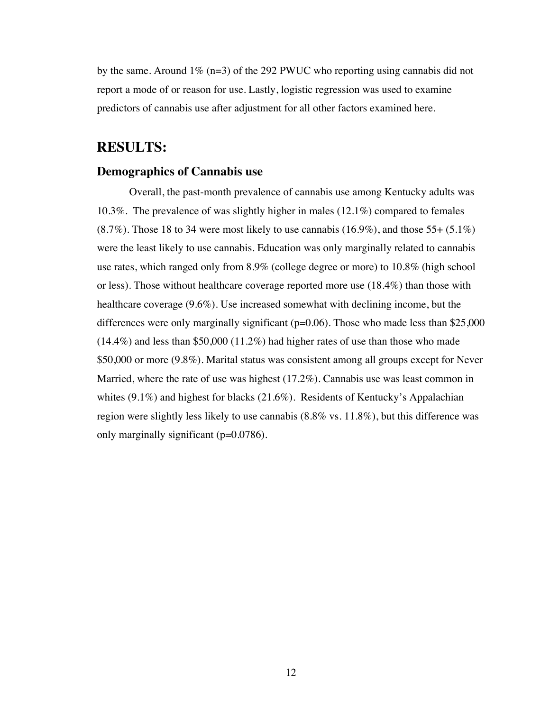by the same. Around  $1\%$  (n=3) of the 292 PWUC who reporting using cannabis did not report a mode of or reason for use. Lastly, logistic regression was used to examine predictors of cannabis use after adjustment for all other factors examined here.

## **RESULTS:**

#### **Demographics of Cannabis use**

Overall, the past-month prevalence of cannabis use among Kentucky adults was 10.3%. The prevalence of was slightly higher in males (12.1%) compared to females  $(8.7\%)$ . Those 18 to 34 were most likely to use cannabis  $(16.9\%)$ , and those 55+  $(5.1\%)$ were the least likely to use cannabis. Education was only marginally related to cannabis use rates, which ranged only from 8.9% (college degree or more) to 10.8% (high school or less). Those without healthcare coverage reported more use (18.4%) than those with healthcare coverage (9.6%). Use increased somewhat with declining income, but the differences were only marginally significant ( $p=0.06$ ). Those who made less than \$25,000  $(14.4\%)$  and less than \$50,000  $(11.2\%)$  had higher rates of use than those who made \$50,000 or more (9.8%). Marital status was consistent among all groups except for Never Married, where the rate of use was highest  $(17.2\%)$ . Cannabis use was least common in whites  $(9.1\%)$  and highest for blacks  $(21.6\%)$ . Residents of Kentucky's Appalachian region were slightly less likely to use cannabis (8.8% vs. 11.8%), but this difference was only marginally significant (p=0.0786).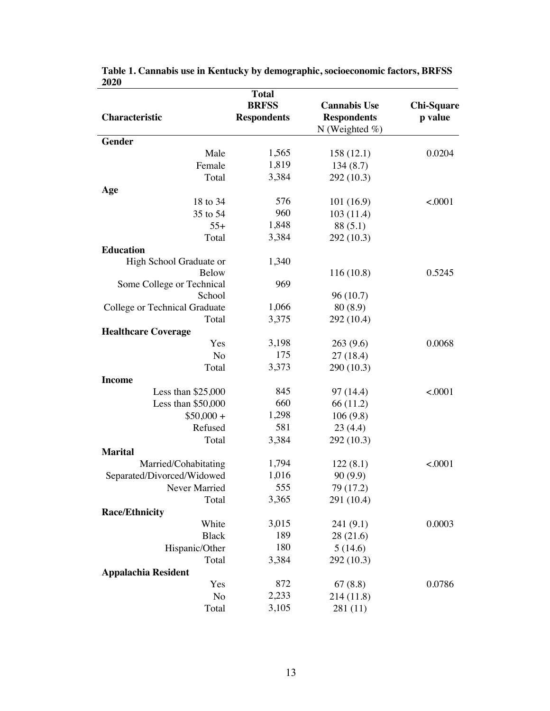|                               | <b>Total</b>       |                     |                   |
|-------------------------------|--------------------|---------------------|-------------------|
|                               | <b>BRFSS</b>       | <b>Cannabis Use</b> | <b>Chi-Square</b> |
| Characteristic                | <b>Respondents</b> | <b>Respondents</b>  | p value           |
|                               |                    | N (Weighted $%$ )   |                   |
| Gender                        |                    |                     |                   |
| Male                          | 1,565              | 158(12.1)           | 0.0204            |
| Female                        | 1,819              | 134(8.7)            |                   |
| Total                         | 3,384              | 292 (10.3)          |                   |
| Age                           |                    |                     |                   |
| 18 to 34                      | 576                | 101(16.9)           | < 0001            |
| 35 to 54                      | 960                | 103(11.4)           |                   |
| $55+$                         | 1,848              | 88 (5.1)            |                   |
| Total                         | 3,384              | 292 (10.3)          |                   |
| <b>Education</b>              |                    |                     |                   |
| High School Graduate or       | 1,340              |                     |                   |
| <b>Below</b>                  |                    | 116(10.8)           | 0.5245            |
| Some College or Technical     | 969                |                     |                   |
| School                        |                    | 96(10.7)            |                   |
| College or Technical Graduate | 1,066              | 80(8.9)             |                   |
| Total                         | 3,375              | 292 (10.4)          |                   |
| <b>Healthcare Coverage</b>    |                    |                     |                   |
| Yes                           | 3,198              | 263(9.6)            | 0.0068            |
| No                            | 175                | 27(18.4)            |                   |
| Total                         | 3,373              | 290 (10.3)          |                   |
| <b>Income</b>                 |                    |                     |                   |
| Less than $$25,000$           | 845                | 97 (14.4)           | < .0001           |
| Less than $$50,000$           | 660                | 66 (11.2)           |                   |
| $$50,000 +$                   | 1,298              | 106(9.8)            |                   |
| Refused                       | 581                | 23(4.4)             |                   |
| Total                         | 3,384              | 292 (10.3)          |                   |
| <b>Marital</b>                |                    |                     |                   |
| Married/Cohabitating          | 1,794              | 122(8.1)            | < .0001           |
| Separated/Divorced/Widowed    | 1,016              | 90(9.9)             |                   |
|                               | 555                |                     |                   |
| Never Married                 | 3,365              | 79 (17.2)           |                   |
| Total                         |                    | 291 (10.4)          |                   |
| <b>Race/Ethnicity</b>         |                    |                     |                   |
| White                         | 3,015              | 241(9.1)            | 0.0003            |
| <b>Black</b>                  | 189                | 28(21.6)            |                   |
| Hispanic/Other                | 180                | 5(14.6)             |                   |
| Total                         | 3,384              | 292 (10.3)          |                   |
| <b>Appalachia Resident</b>    |                    |                     |                   |
| Yes                           | 872                | 67(8.8)             | 0.0786            |
| N <sub>o</sub>                | 2,233              | 214 (11.8)          |                   |
| Total                         | 3,105              | 281 (11)            |                   |

**Table 1. Cannabis use in Kentucky by demographic, socioeconomic factors, BRFSS 2020**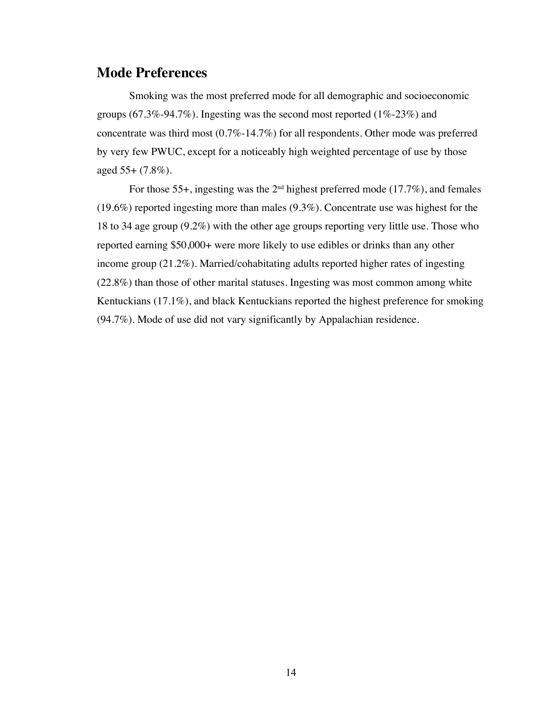## **Mode Preferences**

Smoking was the most preferred mode for all demographic and socioeconomic groups (67.3%-94.7%). Ingesting was the second most reported (1%-23%) and concentrate was third most (0.7%-14.7%) for all respondents. Other mode was preferred by very few PWUC, except for a noticeably high weighted percentage of use by those aged 55+ (7.8%).

For those 55+, ingesting was the 2nd highest preferred mode (17.7%), and females (19.6%) reported ingesting more than males (9.3%). Concentrate use was highest for the 18 to 34 age group (9.2%) with the other age groups reporting very little use. Those who reported earning \$50,000+ were more likely to use edibles or drinks than any other income group (21.2%). Married/cohabitating adults reported higher rates of ingesting (22.8%) than those of other marital statuses. Ingesting was most common among white Kentuckians (17.1%), and black Kentuckians reported the highest preference for smoking (94.7%). Mode of use did not vary significantly by Appalachian residence.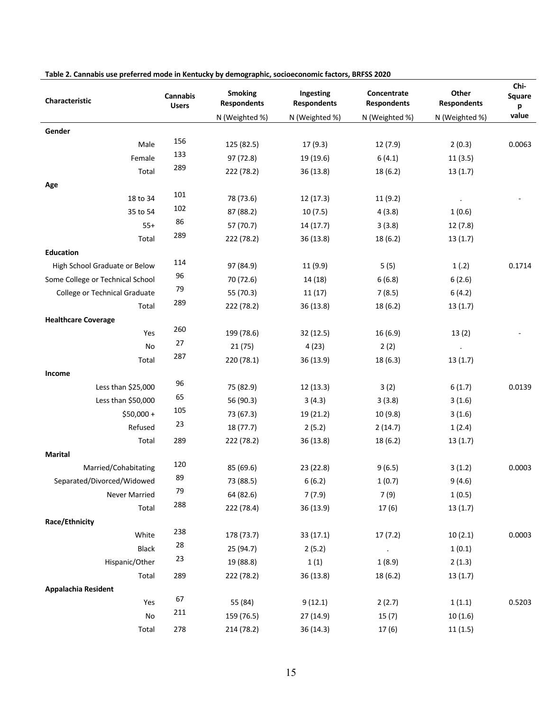| Characteristic                   | <b>Cannabis</b><br><b>Users</b> | <b>Smoking</b><br><b>Respondents</b> | Ingesting<br><b>Respondents</b> | Concentrate<br><b>Respondents</b> | Other<br><b>Respondents</b> | Chi-<br>Square<br>p |
|----------------------------------|---------------------------------|--------------------------------------|---------------------------------|-----------------------------------|-----------------------------|---------------------|
|                                  |                                 | N (Weighted %)                       | N (Weighted %)                  | N (Weighted %)                    | N (Weighted %)              | value               |
| Gender                           |                                 |                                      |                                 |                                   |                             |                     |
| Male                             | 156                             | 125 (82.5)                           | 17(9.3)                         | 12 (7.9)                          | 2(0.3)                      | 0.0063              |
| Female                           | 133                             | 97 (72.8)                            | 19 (19.6)                       | 6(4.1)                            | 11(3.5)                     |                     |
| Total                            | 289                             | 222 (78.2)                           | 36 (13.8)                       | 18 (6.2)                          | 13(1.7)                     |                     |
| Age                              |                                 |                                      |                                 |                                   |                             |                     |
| 18 to 34                         | 101                             | 78 (73.6)                            | 12 (17.3)                       | 11(9.2)                           |                             |                     |
| 35 to 54                         | 102                             | 87 (88.2)                            | 10(7.5)                         | 4(3.8)                            | 1(0.6)                      |                     |
| $55+$                            | 86                              | 57 (70.7)                            | 14 (17.7)                       | 3(3.8)                            | 12(7.8)                     |                     |
| Total                            | 289                             | 222 (78.2)                           | 36 (13.8)                       | 18 (6.2)                          | 13(1.7)                     |                     |
| <b>Education</b>                 |                                 |                                      |                                 |                                   |                             |                     |
| High School Graduate or Below    | 114                             | 97 (84.9)                            | 11 (9.9)                        | 5(5)                              | 1(.2)                       | 0.1714              |
| Some College or Technical School | 96                              | 70 (72.6)                            | 14 (18)                         | 6(6.8)                            | 6(2.6)                      |                     |
| College or Technical Graduate    | 79                              | 55 (70.3)                            | 11(17)                          | 7(8.5)                            | 6(4.2)                      |                     |
| Total                            | 289                             | 222 (78.2)                           | 36(13.8)                        | 18 (6.2)                          | 13(1.7)                     |                     |
| <b>Healthcare Coverage</b>       |                                 |                                      |                                 |                                   |                             |                     |
| Yes                              | 260                             | 199 (78.6)                           | 32 (12.5)                       | 16 (6.9)                          | 13(2)                       |                     |
| No                               | 27                              | 21(75)                               | 4(23)                           | 2(2)                              | $\blacksquare$              |                     |
| Total                            | 287                             | 220 (78.1)                           | 36(13.9)                        | 18 (6.3)                          | 13(1.7)                     |                     |
| Income                           |                                 |                                      |                                 |                                   |                             |                     |
| Less than \$25,000               | 96                              | 75 (82.9)                            | 12 (13.3)                       | 3(2)                              | 6(1.7)                      | 0.0139              |
| Less than \$50,000               | 65                              | 56 (90.3)                            | 3(4.3)                          | 3(3.8)                            | 3(1.6)                      |                     |
| $$50,000 +$                      | 105                             | 73 (67.3)                            | 19 (21.2)                       | 10 (9.8)                          | 3(1.6)                      |                     |
| Refused                          | 23                              | 18 (77.7)                            | 2(5.2)                          | 2(14.7)                           | 1(2.4)                      |                     |
| Total                            | 289                             | 222 (78.2)                           | 36(13.8)                        | 18(6.2)                           | 13(1.7)                     |                     |
| <b>Marital</b>                   |                                 |                                      |                                 |                                   |                             |                     |
| Married/Cohabitating             | 120                             | 85 (69.6)                            | 23 (22.8)                       | 9(6.5)                            | 3(1.2)                      | 0.0003              |
| Separated/Divorced/Widowed       | 89                              | 73 (88.5)                            | 6(6.2)                          | 1(0.7)                            | 9(4.6)                      |                     |
| Never Married                    | 79                              | 64 (82.6)                            | 7(7.9)                          | 7 (9)                             | 1(0.5)                      |                     |
| Total                            | 288                             | 222 (78.4)                           | 36 (13.9)                       | 17(6)                             | 13(1.7)                     |                     |
| Race/Ethnicity                   |                                 |                                      |                                 |                                   |                             |                     |
| White                            | 238                             | 178 (73.7)                           | 33 (17.1)                       | 17(7.2)                           | 10(2.1)                     | 0.0003              |
| Black                            | 28                              | 25(94.7)                             | 2(5.2)                          | $\sim 100$ km s $^{-1}$           | 1(0.1)                      |                     |
| Hispanic/Other                   | 23                              | 19 (88.8)                            | 1(1)                            | 1(8.9)                            | 2(1.3)                      |                     |
| Total                            | 289                             | 222 (78.2)                           | 36 (13.8)                       | 18(6.2)                           | 13(1.7)                     |                     |
| Appalachia Resident              |                                 |                                      |                                 |                                   |                             |                     |
| Yes                              | 67                              | 55 (84)                              | 9(12.1)                         | 2(2.7)                            | 1(1.1)                      | 0.5203              |
| $\mathsf{No}$                    | 211                             | 159 (76.5)                           | 27 (14.9)                       | 15(7)                             | 10(1.6)                     |                     |
| Total                            | 278                             | 214 (78.2)                           | 36 (14.3)                       | 17(6)                             | 11(1.5)                     |                     |

#### **Table 2. Cannabis use preferred mode in Kentucky by demographic, socioeconomic factors, BRFSS 2020**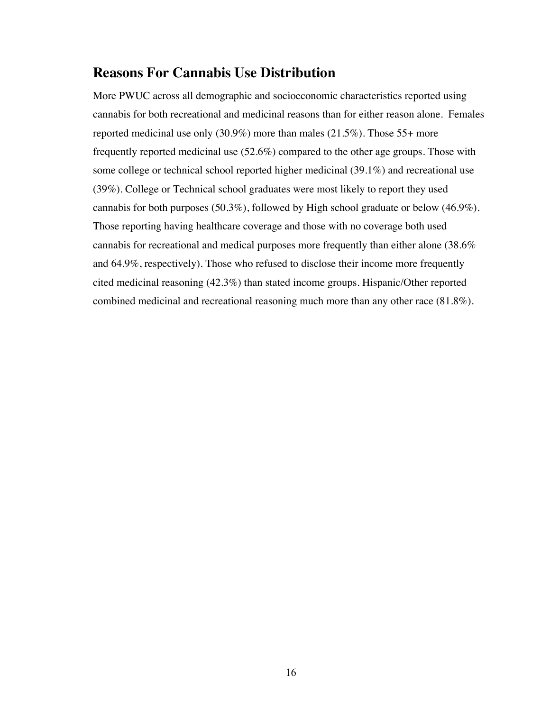## **Reasons For Cannabis Use Distribution**

More PWUC across all demographic and socioeconomic characteristics reported using cannabis for both recreational and medicinal reasons than for either reason alone. Females reported medicinal use only (30.9%) more than males (21.5%). Those 55+ more frequently reported medicinal use (52.6%) compared to the other age groups. Those with some college or technical school reported higher medicinal (39.1%) and recreational use (39%). College or Technical school graduates were most likely to report they used cannabis for both purposes (50.3%), followed by High school graduate or below (46.9%). Those reporting having healthcare coverage and those with no coverage both used cannabis for recreational and medical purposes more frequently than either alone (38.6% and 64.9%, respectively). Those who refused to disclose their income more frequently cited medicinal reasoning (42.3%) than stated income groups. Hispanic/Other reported combined medicinal and recreational reasoning much more than any other race (81.8%).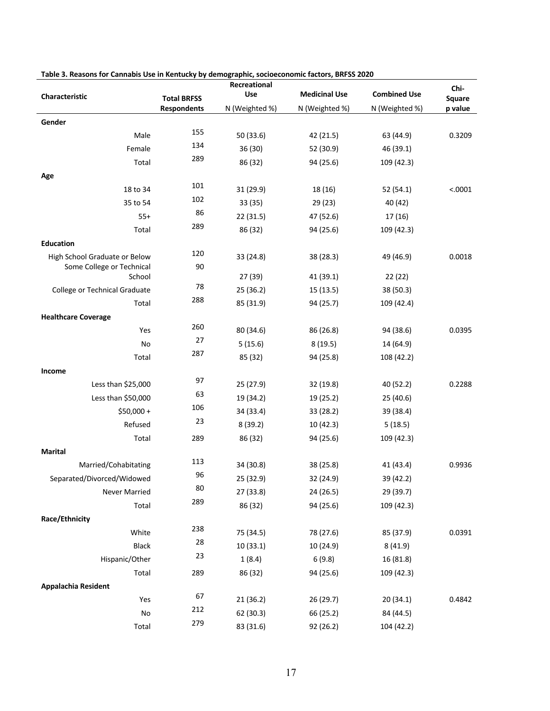|                               |                    | Recreational   |                      |                     | Chi-    |
|-------------------------------|--------------------|----------------|----------------------|---------------------|---------|
| Characteristic                | <b>Total BRFSS</b> | Use            | <b>Medicinal Use</b> | <b>Combined Use</b> | Square  |
|                               | <b>Respondents</b> | N (Weighted %) | N (Weighted %)       | N (Weighted %)      | p value |
| Gender                        |                    |                |                      |                     |         |
| Male                          | 155                | 50 (33.6)      | 42 (21.5)            | 63 (44.9)           | 0.3209  |
| Female                        | 134                | 36 (30)        | 52 (30.9)            | 46 (39.1)           |         |
| Total                         | 289                | 86 (32)        | 94 (25.6)            | 109 (42.3)          |         |
| Age                           |                    |                |                      |                     |         |
| 18 to 34                      | 101                | 31 (29.9)      | 18 (16)              | 52 (54.1)           | < .0001 |
| 35 to 54                      | 102                | 33 (35)        | 29 (23)              | 40 (42)             |         |
| $55+$                         | 86                 | 22 (31.5)      | 47 (52.6)            | 17 (16)             |         |
| Total                         | 289                | 86 (32)        | 94 (25.6)            | 109 (42.3)          |         |
| <b>Education</b>              |                    |                |                      |                     |         |
| High School Graduate or Below | 120                | 33 (24.8)      | 38 (28.3)            | 49 (46.9)           | 0.0018  |
| Some College or Technical     | 90                 |                |                      |                     |         |
| School                        |                    | 27 (39)        | 41 (39.1)            | 22(22)              |         |
| College or Technical Graduate | 78                 | 25 (36.2)      | 15 (13.5)            | 38 (50.3)           |         |
| Total                         | 288                | 85 (31.9)      | 94 (25.7)            | 109 (42.4)          |         |
| <b>Healthcare Coverage</b>    |                    |                |                      |                     |         |
| Yes                           | 260                | 80 (34.6)      | 86 (26.8)            | 94 (38.6)           | 0.0395  |
| No                            | 27                 | 5(15.6)        | 8(19.5)              | 14 (64.9)           |         |
| Total                         | 287                | 85 (32)        | 94 (25.8)            | 108 (42.2)          |         |
| Income                        |                    |                |                      |                     |         |
| Less than \$25,000            | 97                 | 25 (27.9)      | 32 (19.8)            | 40 (52.2)           | 0.2288  |
| Less than \$50,000            | 63                 | 19 (34.2)      | 19 (25.2)            | 25 (40.6)           |         |
| $$50,000 +$                   | 106                | 34 (33.4)      | 33 (28.2)            | 39 (38.4)           |         |
| Refused                       | 23                 | 8(39.2)        | 10 (42.3)            | 5(18.5)             |         |
| Total                         | 289                | 86 (32)        | 94 (25.6)            | 109 (42.3)          |         |
| <b>Marital</b>                |                    |                |                      |                     |         |
| Married/Cohabitating          | 113                | 34 (30.8)      | 38 (25.8)            | 41 (43.4)           | 0.9936  |
| Separated/Divorced/Widowed    | 96                 | 25 (32.9)      | 32 (24.9)            | 39 (42.2)           |         |
| Never Married                 | 80                 | 27 (33.8)      | 24 (26.5)            | 29 (39.7)           |         |
| Total                         | 289                | 86 (32)        | 94 (25.6)            | 109 (42.3)          |         |
| Race/Ethnicity                |                    |                |                      |                     |         |
| White                         | 238                | 75 (34.5)      | 78 (27.6)            | 85 (37.9)           | 0.0391  |
| Black                         | 28                 | 10(33.1)       | 10 (24.9)            | 8(41.9)             |         |
| Hispanic/Other                | 23                 | 1(8.4)         | 6(9.8)               | 16 (81.8)           |         |
| Total                         | 289                | 86 (32)        | 94 (25.6)            | 109 (42.3)          |         |
| Appalachia Resident           |                    |                |                      |                     |         |
| Yes                           | 67                 | 21 (36.2)      | 26 (29.7)            | 20 (34.1)           | 0.4842  |
| $\mathsf{No}$                 | 212                | 62 (30.3)      | 66 (25.2)            | 84 (44.5)           |         |
| Total                         | 279                | 83 (31.6)      | 92 (26.2)            | 104 (42.2)          |         |

| Table 3. Reasons for Cannabis Use in Kentucky by demographic, socioeconomic factors, BRFSS 2020 |  |
|-------------------------------------------------------------------------------------------------|--|
|                                                                                                 |  |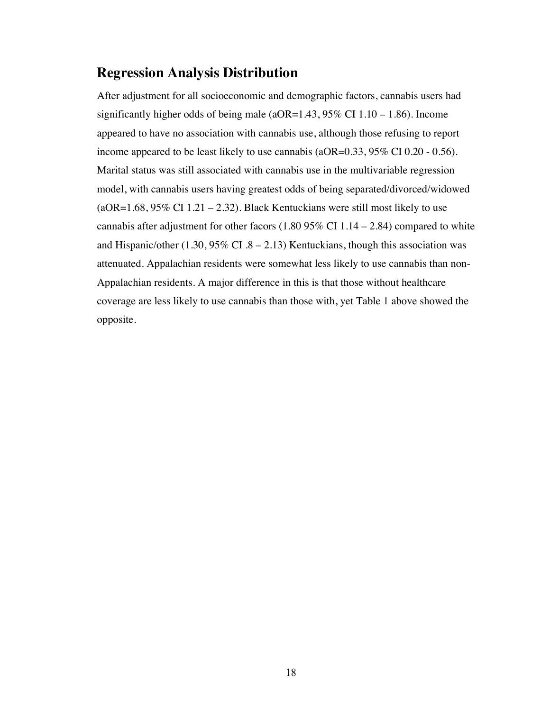## **Regression Analysis Distribution**

After adjustment for all socioeconomic and demographic factors, cannabis users had significantly higher odds of being male (aOR=1.43, 95% CI  $1.10 - 1.86$ ). Income appeared to have no association with cannabis use, although those refusing to report income appeared to be least likely to use cannabis (aOR=0.33, 95% CI 0.20 - 0.56). Marital status was still associated with cannabis use in the multivariable regression model, with cannabis users having greatest odds of being separated/divorced/widowed  $(aOR=1.68, 95\% \text{ CI } 1.21 - 2.32)$ . Black Kentuckians were still most likely to use cannabis after adjustment for other facors  $(1.8095\% \text{ CI} 1.14 - 2.84)$  compared to white and Hispanic/other  $(1.30, 95\% \text{ CI } 0.8 - 2.13)$  Kentuckians, though this association was attenuated. Appalachian residents were somewhat less likely to use cannabis than non-Appalachian residents. A major difference in this is that those without healthcare coverage are less likely to use cannabis than those with, yet Table 1 above showed the opposite.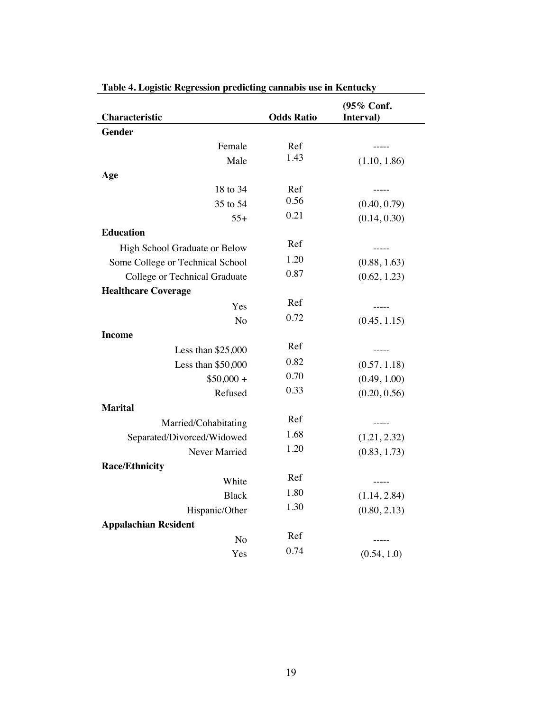| Characteristic                   | <b>Odds Ratio</b> | (95% Conf.<br>Interval) |
|----------------------------------|-------------------|-------------------------|
| <b>Gender</b>                    |                   |                         |
| Female                           | Ref               | $- - - - -$             |
| Male                             | 1.43              | (1.10, 1.86)            |
| Age                              |                   |                         |
| 18 to 34                         | Ref               | $- - - - -$             |
| 35 to 54                         | 0.56              | (0.40, 0.79)            |
| $55+$                            | 0.21              | (0.14, 0.30)            |
| <b>Education</b>                 |                   |                         |
| High School Graduate or Below    | Ref               | -----                   |
| Some College or Technical School | 1.20              | (0.88, 1.63)            |
| College or Technical Graduate    | 0.87              | (0.62, 1.23)            |
| <b>Healthcare Coverage</b>       |                   |                         |
| Yes                              | Ref               | $--- - - -$             |
| N <sub>o</sub>                   | 0.72              | (0.45, 1.15)            |
| <b>Income</b>                    |                   |                         |
| Less than $$25,000$              | Ref               | -----                   |
| Less than \$50,000               | 0.82              | (0.57, 1.18)            |
| $$50,000 +$                      | 0.70              | (0.49, 1.00)            |
| Refused                          | 0.33              | (0.20, 0.56)            |
| <b>Marital</b>                   |                   |                         |
| Married/Cohabitating             | Ref               | $- - - - -$             |
| Separated/Divorced/Widowed       | 1.68              | (1.21, 2.32)            |
| Never Married                    | 1.20              | (0.83, 1.73)            |
| <b>Race/Ethnicity</b>            |                   |                         |
| White                            | Ref               |                         |
| <b>Black</b>                     | 1.80              | (1.14, 2.84)            |
| Hispanic/Other                   | 1.30              | (0.80, 2.13)            |
| <b>Appalachian Resident</b>      |                   |                         |
| No                               | Ref               | -----                   |
| Yes                              | 0.74              | (0.54, 1.0)             |

|  |  |  | Table 4. Logistic Regression predicting cannabis use in Kentucky |  |  |  |  |  |
|--|--|--|------------------------------------------------------------------|--|--|--|--|--|
|  |  |  |                                                                  |  |  |  |  |  |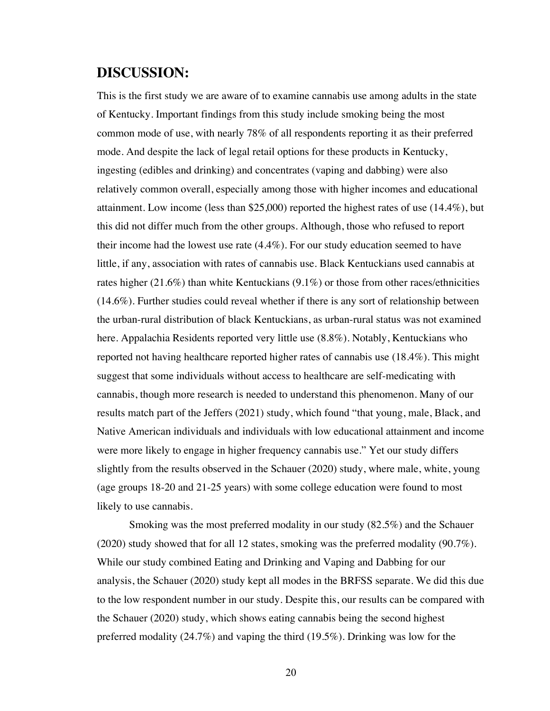## **DISCUSSION:**

This is the first study we are aware of to examine cannabis use among adults in the state of Kentucky. Important findings from this study include smoking being the most common mode of use, with nearly 78% of all respondents reporting it as their preferred mode. And despite the lack of legal retail options for these products in Kentucky, ingesting (edibles and drinking) and concentrates (vaping and dabbing) were also relatively common overall, especially among those with higher incomes and educational attainment. Low income (less than \$25,000) reported the highest rates of use  $(14.4\%)$ , but this did not differ much from the other groups. Although, those who refused to report their income had the lowest use rate (4.4%). For our study education seemed to have little, if any, association with rates of cannabis use. Black Kentuckians used cannabis at rates higher (21.6%) than white Kentuckians (9.1%) or those from other races/ethnicities (14.6%). Further studies could reveal whether if there is any sort of relationship between the urban-rural distribution of black Kentuckians, as urban-rural status was not examined here. Appalachia Residents reported very little use (8.8%). Notably, Kentuckians who reported not having healthcare reported higher rates of cannabis use (18.4%). This might suggest that some individuals without access to healthcare are self-medicating with cannabis, though more research is needed to understand this phenomenon. Many of our results match part of the Jeffers (2021) study, which found "that young, male, Black, and Native American individuals and individuals with low educational attainment and income were more likely to engage in higher frequency cannabis use." Yet our study differs slightly from the results observed in the Schauer (2020) study, where male, white, young (age groups 18-20 and 21-25 years) with some college education were found to most likely to use cannabis.

Smoking was the most preferred modality in our study (82.5%) and the Schauer (2020) study showed that for all 12 states, smoking was the preferred modality (90.7%). While our study combined Eating and Drinking and Vaping and Dabbing for our analysis, the Schauer (2020) study kept all modes in the BRFSS separate. We did this due to the low respondent number in our study. Despite this, our results can be compared with the Schauer (2020) study, which shows eating cannabis being the second highest preferred modality (24.7%) and vaping the third (19.5%). Drinking was low for the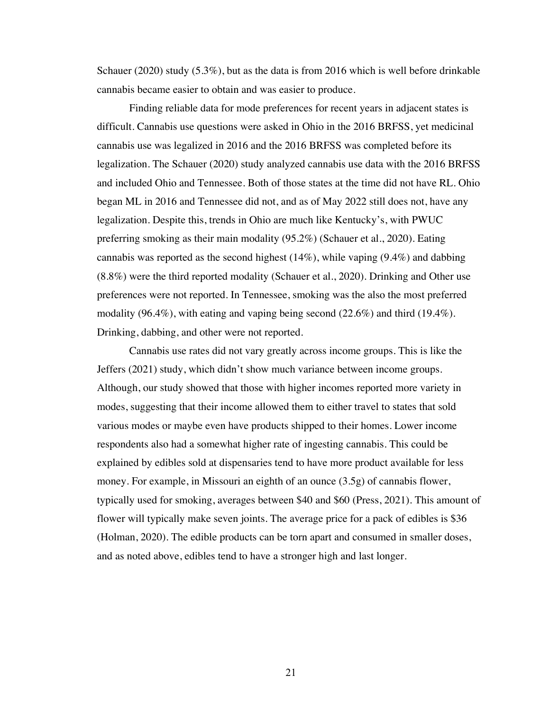Schauer (2020) study (5.3%), but as the data is from 2016 which is well before drinkable cannabis became easier to obtain and was easier to produce.

Finding reliable data for mode preferences for recent years in adjacent states is difficult. Cannabis use questions were asked in Ohio in the 2016 BRFSS, yet medicinal cannabis use was legalized in 2016 and the 2016 BRFSS was completed before its legalization. The Schauer (2020) study analyzed cannabis use data with the 2016 BRFSS and included Ohio and Tennessee. Both of those states at the time did not have RL. Ohio began ML in 2016 and Tennessee did not, and as of May 2022 still does not, have any legalization. Despite this, trends in Ohio are much like Kentucky's, with PWUC preferring smoking as their main modality (95.2%) (Schauer et al., 2020). Eating cannabis was reported as the second highest  $(14\%)$ , while vaping  $(9.4\%)$  and dabbing (8.8%) were the third reported modality (Schauer et al., 2020). Drinking and Other use preferences were not reported. In Tennessee, smoking was the also the most preferred modality (96.4%), with eating and vaping being second (22.6%) and third (19.4%). Drinking, dabbing, and other were not reported.

Cannabis use rates did not vary greatly across income groups. This is like the Jeffers (2021) study, which didn't show much variance between income groups. Although, our study showed that those with higher incomes reported more variety in modes, suggesting that their income allowed them to either travel to states that sold various modes or maybe even have products shipped to their homes. Lower income respondents also had a somewhat higher rate of ingesting cannabis. This could be explained by edibles sold at dispensaries tend to have more product available for less money. For example, in Missouri an eighth of an ounce (3.5g) of cannabis flower, typically used for smoking, averages between \$40 and \$60 (Press, 2021). This amount of flower will typically make seven joints. The average price for a pack of edibles is \$36 (Holman, 2020). The edible products can be torn apart and consumed in smaller doses, and as noted above, edibles tend to have a stronger high and last longer.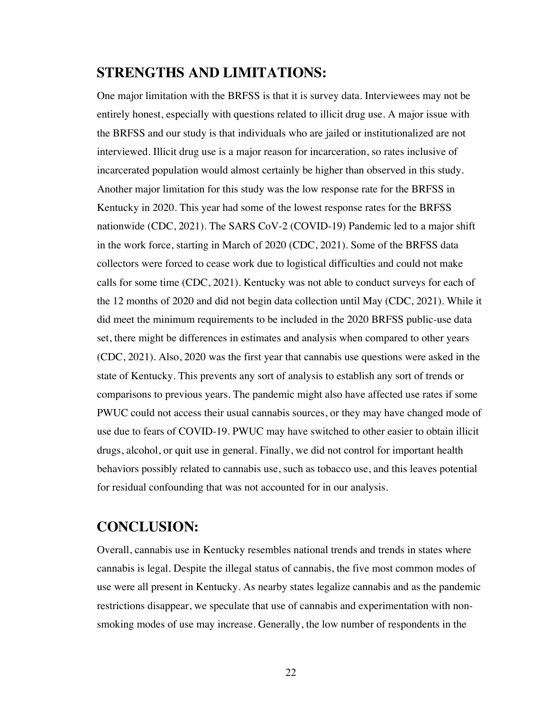## **STRENGTHS AND LIMITATIONS:**

One major limitation with the BRFSS is that it is survey data. Interviewees may not be entirely honest, especially with questions related to illicit drug use. A major issue with the BRFSS and our study is that individuals who are jailed or institutionalized are not interviewed. Illicit drug use is a major reason for incarceration, so rates inclusive of incarcerated population would almost certainly be higher than observed in this study. Another major limitation for this study was the low response rate for the BRFSS in Kentucky in 2020. This year had some of the lowest response rates for the BRFSS nationwide (CDC, 2021). The SARS CoV-2 (COVID-19) Pandemic led to a major shift in the work force, starting in March of 2020 (CDC, 2021). Some of the BRFSS data collectors were forced to cease work due to logistical difficulties and could not make calls for some time (CDC, 2021). Kentucky was not able to conduct surveys for each of the 12 months of 2020 and did not begin data collection until May (CDC, 2021). While it did meet the minimum requirements to be included in the 2020 BRFSS public-use data set, there might be differences in estimates and analysis when compared to other years (CDC, 2021). Also, 2020 was the first year that cannabis use questions were asked in the state of Kentucky. This prevents any sort of analysis to establish any sort of trends or comparisons to previous years. The pandemic might also have affected use rates if some PWUC could not access their usual cannabis sources, or they may have changed mode of use due to fears of COVID-19. PWUC may have switched to other easier to obtain illicit drugs, alcohol, or quit use in general. Finally, we did not control for important health behaviors possibly related to cannabis use, such as tobacco use, and this leaves potential for residual confounding that was not accounted for in our analysis.

## **CONCLUSION:**

Overall, cannabis use in Kentucky resembles national trends and trends in states where cannabis is legal. Despite the illegal status of cannabis, the five most common modes of use were all present in Kentucky. As nearby states legalize cannabis and as the pandemic restrictions disappear, we speculate that use of cannabis and experimentation with nonsmoking modes of use may increase. Generally, the low number of respondents in the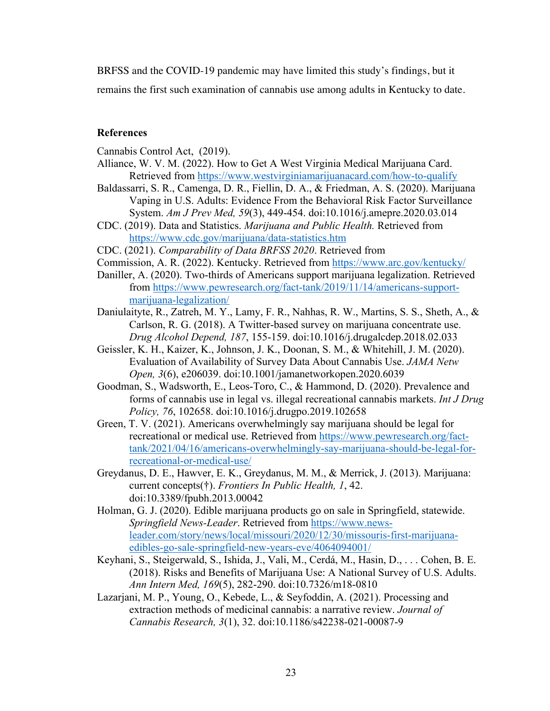BRFSS and the COVID-19 pandemic may have limited this study's findings, but it

remains the first such examination of cannabis use among adults in Kentucky to date.

#### **References**

Cannabis Control Act, (2019).

- Alliance, W. V. M. (2022). How to Get A West Virginia Medical Marijuana Card. Retrieved from https://www.westvirginiamarijuanacard.com/how-to-qualify
- Baldassarri, S. R., Camenga, D. R., Fiellin, D. A., & Friedman, A. S. (2020). Marijuana Vaping in U.S. Adults: Evidence From the Behavioral Risk Factor Surveillance System. *Am J Prev Med, 59*(3), 449-454. doi:10.1016/j.amepre.2020.03.014
- CDC. (2019). Data and Statistics. *Marijuana and Public Health.* Retrieved from https://www.cdc.gov/marijuana/data-statistics.htm

CDC. (2021). *Comparability of Data BRFSS 2020*. Retrieved from

- Commission, A. R. (2022). Kentucky. Retrieved from https://www.arc.gov/kentucky/
- Daniller, A. (2020). Two-thirds of Americans support marijuana legalization. Retrieved from https://www.pewresearch.org/fact-tank/2019/11/14/americans-supportmarijuana-legalization/
- Daniulaityte, R., Zatreh, M. Y., Lamy, F. R., Nahhas, R. W., Martins, S. S., Sheth, A., & Carlson, R. G. (2018). A Twitter-based survey on marijuana concentrate use. *Drug Alcohol Depend, 187*, 155-159. doi:10.1016/j.drugalcdep.2018.02.033
- Geissler, K. H., Kaizer, K., Johnson, J. K., Doonan, S. M., & Whitehill, J. M. (2020). Evaluation of Availability of Survey Data About Cannabis Use. *JAMA Netw Open, 3*(6), e206039. doi:10.1001/jamanetworkopen.2020.6039
- Goodman, S., Wadsworth, E., Leos-Toro, C., & Hammond, D. (2020). Prevalence and forms of cannabis use in legal vs. illegal recreational cannabis markets. *Int J Drug Policy, 76*, 102658. doi:10.1016/j.drugpo.2019.102658
- Green, T. V. (2021). Americans overwhelmingly say marijuana should be legal for recreational or medical use. Retrieved from https://www.pewresearch.org/facttank/2021/04/16/americans-overwhelmingly-say-marijuana-should-be-legal-forrecreational-or-medical-use/
- Greydanus, D. E., Hawver, E. K., Greydanus, M. M., & Merrick, J. (2013). Marijuana: current concepts(†). *Frontiers In Public Health, 1*, 42. doi:10.3389/fpubh.2013.00042
- Holman, G. J. (2020). Edible marijuana products go on sale in Springfield, statewide. *Springfield News-Leader*. Retrieved from https://www.newsleader.com/story/news/local/missouri/2020/12/30/missouris-first-marijuanaedibles-go-sale-springfield-new-years-eve/4064094001/
- Keyhani, S., Steigerwald, S., Ishida, J., Vali, M., Cerdá, M., Hasin, D., . . . Cohen, B. E. (2018). Risks and Benefits of Marijuana Use: A National Survey of U.S. Adults. *Ann Intern Med, 169*(5), 282-290. doi:10.7326/m18-0810
- Lazarjani, M. P., Young, O., Kebede, L., & Seyfoddin, A. (2021). Processing and extraction methods of medicinal cannabis: a narrative review. *Journal of Cannabis Research, 3*(1), 32. doi:10.1186/s42238-021-00087-9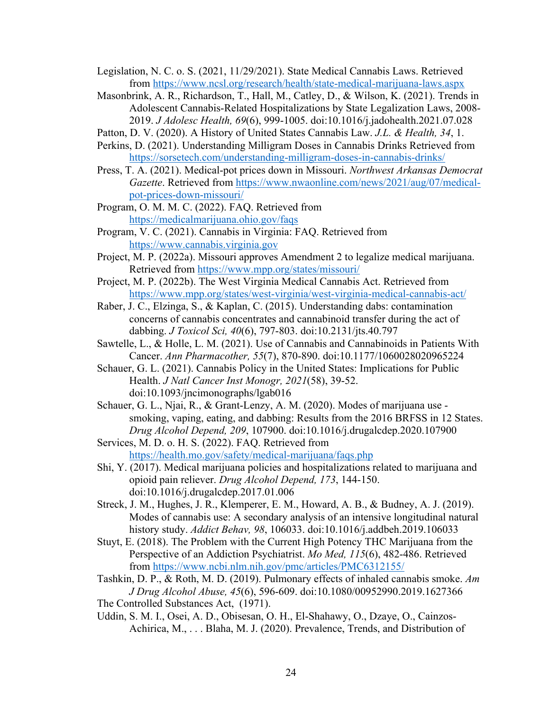- Legislation, N. C. o. S. (2021, 11/29/2021). State Medical Cannabis Laws. Retrieved from https://www.ncsl.org/research/health/state-medical-marijuana-laws.aspx
- Masonbrink, A. R., Richardson, T., Hall, M., Catley, D., & Wilson, K. (2021). Trends in Adolescent Cannabis-Related Hospitalizations by State Legalization Laws, 2008- 2019. *J Adolesc Health, 69*(6), 999-1005. doi:10.1016/j.jadohealth.2021.07.028

Patton, D. V. (2020). A History of United States Cannabis Law. *J.L. & Health, 34*, 1.

- Perkins, D. (2021). Understanding Milligram Doses in Cannabis Drinks Retrieved from https://sorsetech.com/understanding-milligram-doses-in-cannabis-drinks/
- Press, T. A. (2021). Medical-pot prices down in Missouri. *Northwest Arkansas Democrat Gazette*. Retrieved from https://www.nwaonline.com/news/2021/aug/07/medicalpot-prices-down-missouri/

Program, O. M. M. C. (2022). FAQ. Retrieved from https://medicalmarijuana.ohio.gov/faqs

- Program, V. C. (2021). Cannabis in Virginia: FAQ. Retrieved from https://www.cannabis.virginia.gov
- Project, M. P. (2022a). Missouri approves Amendment 2 to legalize medical marijuana. Retrieved from https://www.mpp.org/states/missouri/
- Project, M. P. (2022b). The West Virginia Medical Cannabis Act. Retrieved from https://www.mpp.org/states/west-virginia/west-virginia-medical-cannabis-act/
- Raber, J. C., Elzinga, S., & Kaplan, C. (2015). Understanding dabs: contamination concerns of cannabis concentrates and cannabinoid transfer during the act of dabbing. *J Toxicol Sci, 40*(6), 797-803. doi:10.2131/jts.40.797
- Sawtelle, L., & Holle, L. M. (2021). Use of Cannabis and Cannabinoids in Patients With Cancer. *Ann Pharmacother, 55*(7), 870-890. doi:10.1177/1060028020965224
- Schauer, G. L. (2021). Cannabis Policy in the United States: Implications for Public Health. *J Natl Cancer Inst Monogr, 2021*(58), 39-52. doi:10.1093/jncimonographs/lgab016
- Schauer, G. L., Njai, R., & Grant-Lenzy, A. M. (2020). Modes of marijuana use smoking, vaping, eating, and dabbing: Results from the 2016 BRFSS in 12 States. *Drug Alcohol Depend, 209*, 107900. doi:10.1016/j.drugalcdep.2020.107900
- Services, M. D. o. H. S. (2022). FAQ. Retrieved from https://health.mo.gov/safety/medical-marijuana/faqs.php
- Shi, Y. (2017). Medical marijuana policies and hospitalizations related to marijuana and opioid pain reliever. *Drug Alcohol Depend, 173*, 144-150. doi:10.1016/j.drugalcdep.2017.01.006
- Streck, J. M., Hughes, J. R., Klemperer, E. M., Howard, A. B., & Budney, A. J. (2019). Modes of cannabis use: A secondary analysis of an intensive longitudinal natural history study. *Addict Behav, 98*, 106033. doi:10.1016/j.addbeh.2019.106033
- Stuyt, E. (2018). The Problem with the Current High Potency THC Marijuana from the Perspective of an Addiction Psychiatrist. *Mo Med, 115*(6), 482-486. Retrieved from https://www.ncbi.nlm.nih.gov/pmc/articles/PMC6312155/
- Tashkin, D. P., & Roth, M. D. (2019). Pulmonary effects of inhaled cannabis smoke. *Am J Drug Alcohol Abuse, 45*(6), 596-609. doi:10.1080/00952990.2019.1627366 The Controlled Substances Act, (1971).
- Uddin, S. M. I., Osei, A. D., Obisesan, O. H., El-Shahawy, O., Dzaye, O., Cainzos-Achirica, M., . . . Blaha, M. J. (2020). Prevalence, Trends, and Distribution of